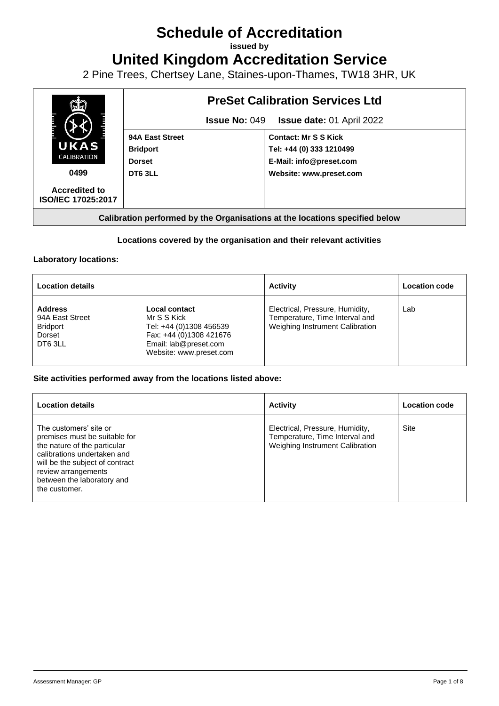# **Schedule of Accreditation**

**issued by**

**United Kingdom Accreditation Service**

2 Pine Trees, Chertsey Lane, Staines-upon-Thames, TW18 3HR, UK



# **Locations covered by the organisation and their relevant activities**

## **Laboratory locations:**

| <b>Location details</b>                                                  |                                                                                                                                        | <b>Activity</b>                                                                                      | <b>Location code</b> |
|--------------------------------------------------------------------------|----------------------------------------------------------------------------------------------------------------------------------------|------------------------------------------------------------------------------------------------------|----------------------|
| <b>Address</b><br>94A East Street<br><b>Bridport</b><br>Dorset<br>DT63LL | Local contact<br>Mr S S Kick<br>Tel: +44 (0)1308 456539<br>Fax: +44 (0)1308 421676<br>Email: lab@preset.com<br>Website: www.preset.com | Electrical, Pressure, Humidity,<br>Temperature, Time Interval and<br>Weighing Instrument Calibration | Lab                  |

## **Site activities performed away from the locations listed above:**

| <b>Location details</b>                                                                                                                                                                                                         | <b>Activity</b>                                                                                      | <b>Location code</b> |
|---------------------------------------------------------------------------------------------------------------------------------------------------------------------------------------------------------------------------------|------------------------------------------------------------------------------------------------------|----------------------|
| The customers' site or<br>premises must be suitable for<br>the nature of the particular<br>calibrations undertaken and<br>will be the subject of contract<br>review arrangements<br>between the laboratory and<br>the customer. | Electrical, Pressure, Humidity,<br>Temperature, Time Interval and<br>Weighing Instrument Calibration | Site                 |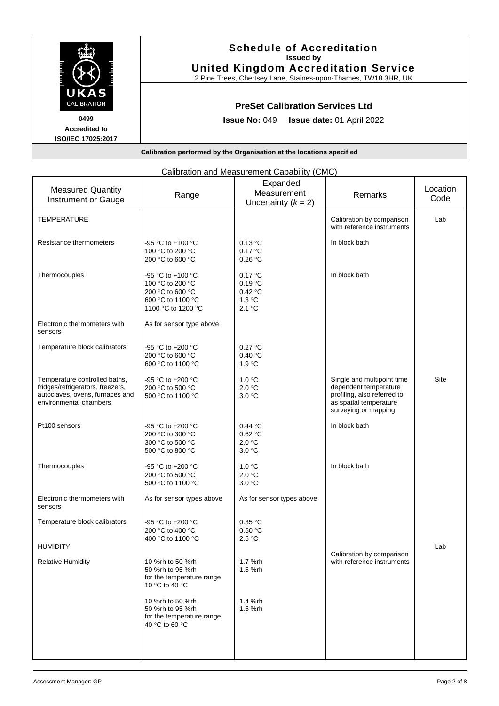

| Calibration and Measurement Capability (CMC)                                                                                   |                                                                                                      |                                                   |                                                                                                                                      |                  |
|--------------------------------------------------------------------------------------------------------------------------------|------------------------------------------------------------------------------------------------------|---------------------------------------------------|--------------------------------------------------------------------------------------------------------------------------------------|------------------|
| <b>Measured Quantity</b><br><b>Instrument or Gauge</b>                                                                         | Range                                                                                                | Expanded<br>Measurement<br>Uncertainty $(k = 2)$  | Remarks                                                                                                                              | Location<br>Code |
| <b>TEMPERATURE</b>                                                                                                             |                                                                                                      |                                                   | Calibration by comparison<br>with reference instruments                                                                              | Lab              |
| Resistance thermometers                                                                                                        | -95 °C to +100 °C<br>100 °C to 200 °C<br>200 °C to 600 °C                                            | 0.13 °C<br>0.17 °C<br>0.26 °C                     | In block bath                                                                                                                        |                  |
| Thermocouples                                                                                                                  | -95 °C to +100 °C<br>100 °C to 200 °C<br>200 °C to 600 °C<br>600 °C to 1100 °C<br>1100 °C to 1200 °C | 0.17 °C<br>0.19 °C<br>0.42 °C<br>1.3 °C<br>2.1 °C | In block bath                                                                                                                        |                  |
| Electronic thermometers with<br>sensors                                                                                        | As for sensor type above                                                                             |                                                   |                                                                                                                                      |                  |
| Temperature block calibrators                                                                                                  | -95 °C to +200 °C<br>200 °C to 600 °C<br>600 °C to 1100 °C                                           | 0.27 °C<br>0.40 °C<br>1.9 °C                      |                                                                                                                                      |                  |
| Temperature controlled baths,<br>fridges/refrigerators, freezers,<br>autoclaves, ovens, furnaces and<br>environmental chambers | -95 °C to +200 °C<br>200 °C to 500 °C<br>500 °C to 1100 °C                                           | 1.0 °C<br>2.0 °C<br>3.0 °C                        | Single and multipoint time<br>dependent temperature<br>profiling, also referred to<br>as spatial temperature<br>surveying or mapping | Site             |
| Pt100 sensors                                                                                                                  | -95 °C to +200 °C<br>200 °C to 300 °C<br>300 °C to 500 °C<br>500 °C to 800 °C                        | 0.44 °C<br>0.62 °C<br>2.0 °C<br>3.0 °C            | In block bath                                                                                                                        |                  |
| Thermocouples                                                                                                                  | -95 °C to +200 °C<br>200 °C to 500 °C<br>500 °C to 1100 °C                                           | 1.0 °C<br>2.0 °C<br>3.0 °C                        | In block bath                                                                                                                        |                  |
| Electronic thermometers with<br>sensors                                                                                        | As for sensor types above                                                                            | As for sensor types above                         |                                                                                                                                      |                  |
| Temperature block calibrators                                                                                                  | -95 °C to +200 °C<br>200 °C to 400 °C                                                                | 0.35 °C<br>0.50 °C                                |                                                                                                                                      |                  |
| <b>HUMIDITY</b>                                                                                                                | 400 °C to 1100 °C                                                                                    | 2.5 °C                                            | Calibration by comparison                                                                                                            | Lab              |
| <b>Relative Humidity</b>                                                                                                       | 10 %rh to 50 %rh<br>50 %rh to 95 %rh<br>for the temperature range<br>10 °C to 40 °C                  | 1.7 %rh<br>1.5 %rh                                | with reference instruments                                                                                                           |                  |
|                                                                                                                                | 10 %rh to 50 %rh<br>50 %rh to 95 %rh<br>for the temperature range<br>40 °C to 60 °C                  | 1.4 %rh<br>1.5 %rh                                |                                                                                                                                      |                  |
|                                                                                                                                |                                                                                                      |                                                   |                                                                                                                                      |                  |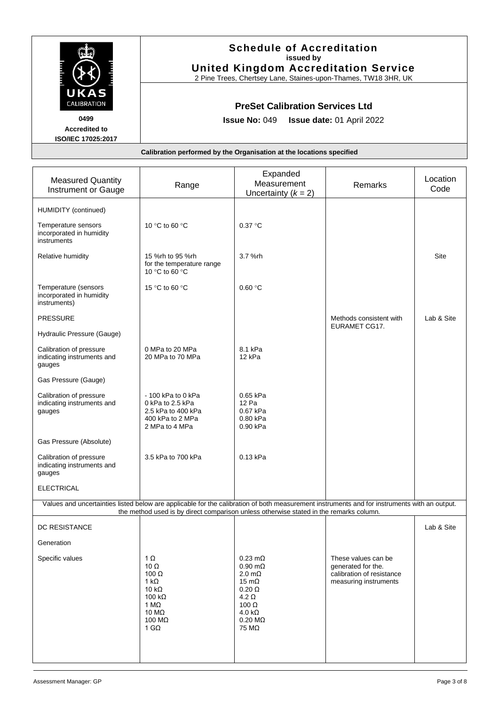|                                                                           | <b>Schedule of Accreditation</b><br>issued by<br><b>United Kingdom Accreditation Service</b><br>2 Pine Trees, Chertsey Lane, Staines-upon-Thames, TW18 3HR, UK |                                                                      |         |                        |  |
|---------------------------------------------------------------------------|----------------------------------------------------------------------------------------------------------------------------------------------------------------|----------------------------------------------------------------------|---------|------------------------|--|
| UKAS<br>CALIBRATION<br>0499<br><b>Accredited to</b><br>ISO/IEC 17025:2017 | <b>PreSet Calibration Services Ltd</b><br><b>Issue No: 049</b><br><b>Issue date: 01 April 2022</b>                                                             |                                                                      |         |                        |  |
|                                                                           |                                                                                                                                                                | Calibration performed by the Organisation at the locations specified |         |                        |  |
|                                                                           |                                                                                                                                                                |                                                                      |         |                        |  |
| <b>Measured Quantity</b><br>متحددها والمتحافظ والمتحدد والمنافذة          | Range                                                                                                                                                          | Expanded<br>Measurement                                              | Remarks | Location<br>$C^{\sim}$ |  |

| measured Quantity<br>Instrument or Gauge                                                                                                     | Range                                                                                                                                          | Measurement<br>Uncertainty $(k = 2)$                                                                                                                                                                           | Remarks                                                                                         | ∟∪∪au∪⊓<br>Code |
|----------------------------------------------------------------------------------------------------------------------------------------------|------------------------------------------------------------------------------------------------------------------------------------------------|----------------------------------------------------------------------------------------------------------------------------------------------------------------------------------------------------------------|-------------------------------------------------------------------------------------------------|-----------------|
| HUMIDITY (continued)                                                                                                                         |                                                                                                                                                |                                                                                                                                                                                                                |                                                                                                 |                 |
| Temperature sensors<br>incorporated in humidity<br>instruments                                                                               | 10 °C to 60 °C                                                                                                                                 | 0.37 °C                                                                                                                                                                                                        |                                                                                                 |                 |
| Relative humidity                                                                                                                            | 15 %rh to 95 %rh<br>for the temperature range<br>10 °C to 60 °C                                                                                | 3.7 %rh                                                                                                                                                                                                        |                                                                                                 | Site            |
| Temperature (sensors<br>incorporated in humidity<br>instruments)                                                                             | 15 °C to 60 °C                                                                                                                                 | 0.60 °C                                                                                                                                                                                                        |                                                                                                 |                 |
| <b>PRESSURE</b>                                                                                                                              |                                                                                                                                                |                                                                                                                                                                                                                | Methods consistent with<br>EURAMET CG17.                                                        | Lab & Site      |
| Hydraulic Pressure (Gauge)                                                                                                                   |                                                                                                                                                |                                                                                                                                                                                                                |                                                                                                 |                 |
| Calibration of pressure<br>indicating instruments and<br>gauges                                                                              | 0 MPa to 20 MPa<br>20 MPa to 70 MPa                                                                                                            | 8.1 kPa<br>12 kPa                                                                                                                                                                                              |                                                                                                 |                 |
| Gas Pressure (Gauge)                                                                                                                         |                                                                                                                                                |                                                                                                                                                                                                                |                                                                                                 |                 |
| Calibration of pressure<br>indicating instruments and<br>gauges                                                                              | $-100$ kPa to 0 kPa<br>0 kPa to 2.5 kPa<br>2.5 kPa to 400 kPa<br>400 kPa to 2 MPa<br>2 MPa to 4 MPa                                            | 0.65 kPa<br>12 Pa<br>0.67 kPa<br>0.80 kPa<br>0.90 kPa                                                                                                                                                          |                                                                                                 |                 |
| Gas Pressure (Absolute)                                                                                                                      |                                                                                                                                                |                                                                                                                                                                                                                |                                                                                                 |                 |
| Calibration of pressure<br>indicating instruments and<br>gauges                                                                              | 3.5 kPa to 700 kPa                                                                                                                             | 0.13 kPa                                                                                                                                                                                                       |                                                                                                 |                 |
| <b>ELECTRICAL</b>                                                                                                                            |                                                                                                                                                |                                                                                                                                                                                                                |                                                                                                 |                 |
| Values and uncertainties listed below are applicable for the calibration of both measurement instruments and for instruments with an output. | the method used is by direct comparison unless otherwise stated in the remarks column.                                                         |                                                                                                                                                                                                                |                                                                                                 |                 |
| <b>DC RESISTANCE</b>                                                                                                                         |                                                                                                                                                |                                                                                                                                                                                                                |                                                                                                 | Lab & Site      |
| Generation                                                                                                                                   |                                                                                                                                                |                                                                                                                                                                                                                |                                                                                                 |                 |
| Specific values                                                                                                                              | 1 Ω<br>10 $\Omega$<br>100 $\Omega$<br>1 kΩ<br>10 k $\Omega$<br>100 k $\Omega$<br>1 M $\Omega$<br>10 $M\Omega$<br>100 $M\Omega$<br>1 G $\Omega$ | $0.23 \text{ m}\Omega$<br>$0.90 \text{ m}\Omega$<br>$2.0 \text{ m}\Omega$<br>$15 \text{ m}\Omega$<br>$0.20 \Omega$<br>4.2 $\Omega$<br>100 $\Omega$<br>$4.0 \text{ k}\Omega$<br>$0.20 \text{ M}\Omega$<br>75 MΩ | These values can be<br>generated for the.<br>calibration of resistance<br>measuring instruments |                 |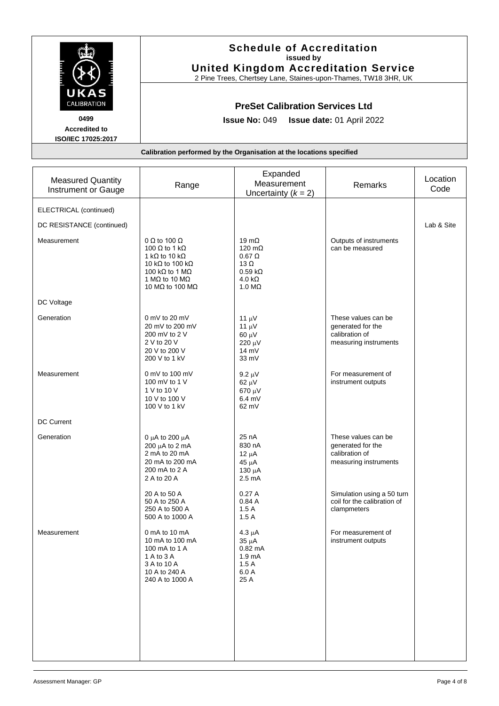|                                                                                  | <b>Schedule of Accreditation</b><br>issued by<br><b>United Kingdom Accreditation Service</b><br>2 Pine Trees, Chertsey Lane, Staines-upon-Thames, TW18 3HR, UK                                                       |                                                                                                                             |                                                                                     |                  |
|----------------------------------------------------------------------------------|----------------------------------------------------------------------------------------------------------------------------------------------------------------------------------------------------------------------|-----------------------------------------------------------------------------------------------------------------------------|-------------------------------------------------------------------------------------|------------------|
| UKAS<br><b>CALIBRATION</b><br>0499<br><b>Accredited to</b><br>ISO/IEC 17025:2017 | <b>PreSet Calibration Services Ltd</b><br><b>Issue No: 049</b><br>Issue date: 01 April 2022                                                                                                                          |                                                                                                                             |                                                                                     |                  |
|                                                                                  | Calibration performed by the Organisation at the locations specified                                                                                                                                                 |                                                                                                                             |                                                                                     |                  |
| <b>Measured Quantity</b><br>Instrument or Gauge                                  | Range                                                                                                                                                                                                                | Expanded<br>Measurement<br>Uncertainty $(k = 2)$                                                                            | Remarks                                                                             | Location<br>Code |
| ELECTRICAL (continued)<br>DC RESISTANCE (continued)                              |                                                                                                                                                                                                                      |                                                                                                                             |                                                                                     | Lab & Site       |
| Measurement                                                                      | 0 $\Omega$ to 100 $\Omega$<br>100 $\Omega$ to 1 k $\Omega$<br>1 k $\Omega$ to 10 k $\Omega$<br>10 k $\Omega$ to 100 k $\Omega$<br>100 k $\Omega$ to 1 M $\Omega$<br>1 MQ to 10 MQ<br>10 M $\Omega$ to 100 M $\Omega$ | 19 $m\Omega$<br>120 m $\Omega$<br>$0.67 \Omega$<br>13 $\Omega$<br>$0.59 \text{ k}\Omega$<br>4.0 k $\Omega$<br>1.0 $M\Omega$ | Outputs of instruments<br>can be measured                                           |                  |
| DC Voltage                                                                       |                                                                                                                                                                                                                      |                                                                                                                             |                                                                                     |                  |
| Generation                                                                       | 0 mV to 20 mV<br>20 mV to 200 mV<br>200 mV to 2 V<br>2 V to 20 V<br>20 V to 200 V<br>200 V to 1 kV                                                                                                                   | 11 $\mu$ V<br>11 $\mu$ V<br>$60 \mu V$<br>220 μV<br>14 mV<br>33 mV                                                          | These values can be<br>generated for the<br>calibration of<br>measuring instruments |                  |
| Measurement                                                                      | 0 mV to 100 mV<br>100 mV to 1 V<br>1 V to 10 V<br>10 V to 100 V<br>100 V to 1 kV                                                                                                                                     | $9.2 \mu V$<br>$62 \mu V$<br>670 μV<br>$6.4$ mV<br>62 mV                                                                    | For measurement of<br>instrument outputs                                            |                  |
| <b>DC Current</b>                                                                |                                                                                                                                                                                                                      |                                                                                                                             |                                                                                     |                  |
| Generation                                                                       | 0 $\mu$ A to 200 $\mu$ A<br>200 $\mu$ A to 2 mA<br>2 mA to 20 mA<br>20 mA to 200 mA<br>200 mA to 2 A<br>2 A to 20 A                                                                                                  | 25 nA<br>830 nA<br>$12 \mu A$<br>$45 \mu A$<br>130 µA<br>$2.5 \text{ mA}$                                                   | These values can be<br>generated for the<br>calibration of<br>measuring instruments |                  |
|                                                                                  | 20 A to 50 A<br>50 A to 250 A<br>250 A to 500 A<br>500 A to 1000 A                                                                                                                                                   | 0.27A<br>0.84A<br>1.5A<br>1.5A                                                                                              | Simulation using a 50 turn<br>coil for the calibration of<br>clampmeters            |                  |
| Measurement                                                                      | 0 mA to 10 mA<br>10 mA to 100 mA<br>100 mA to 1 A<br>1 A to 3 A<br>3 A to 10 A<br>10 A to 240 A<br>240 A to 1000 A                                                                                                   | $4.3 \mu A$<br>$35 \mu A$<br>$0.82 \text{ mA}$<br>1.9 <sub>mA</sub><br>1.5A<br>6.0 A<br>25 A                                | For measurement of<br>instrument outputs                                            |                  |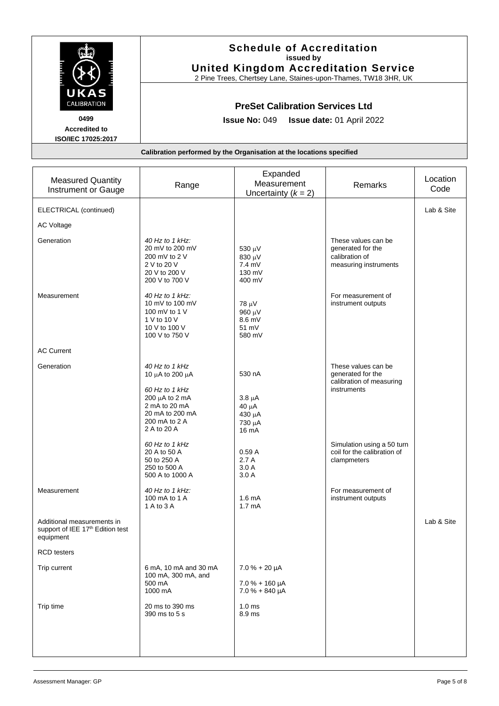|                                                                                  | <b>Schedule of Accreditation</b><br>issued by<br><b>United Kingdom Accreditation Service</b><br>2 Pine Trees, Chertsey Lane, Staines-upon-Thames, TW18 3HR, UK |  |  |  |
|----------------------------------------------------------------------------------|----------------------------------------------------------------------------------------------------------------------------------------------------------------|--|--|--|
| UKAS<br>CALIBRATION<br>0499<br><b>Accredited to</b><br><b>ISO/IEC 17025:2017</b> | <b>PreSet Calibration Services Ltd</b><br><b>Issue No: 049</b><br><b>Issue date: 01 April 2022</b>                                                             |  |  |  |
|                                                                                  | Calibration performed by the Organisation at the locations specified                                                                                           |  |  |  |
|                                                                                  |                                                                                                                                                                |  |  |  |

| <b>Measured Quantity</b><br>Instrument or Gauge                             | Range                                                                                                     | Expanded<br>Measurement<br>Uncertainty $(k = 2)$              | Remarks                                                                             | Location<br>Code |
|-----------------------------------------------------------------------------|-----------------------------------------------------------------------------------------------------------|---------------------------------------------------------------|-------------------------------------------------------------------------------------|------------------|
| ELECTRICAL (continued)                                                      |                                                                                                           |                                                               |                                                                                     | Lab & Site       |
| <b>AC Voltage</b>                                                           |                                                                                                           |                                                               |                                                                                     |                  |
| Generation                                                                  | 40 Hz to 1 kHz:<br>20 mV to 200 mV<br>200 mV to 2 V<br>2 V to 20 V<br>20 V to 200 V<br>200 V to 700 V     | 530 μV<br>830 μV<br>7.4 mV<br>130 mV<br>400 mV                | These values can be<br>generated for the<br>calibration of<br>measuring instruments |                  |
| Measurement                                                                 | 40 Hz to 1 kHz:<br>10 mV to 100 mV<br>100 mV to 1 V<br>1 V to 10 V<br>10 V to 100 V<br>100 V to 750 V     | $78 \mu V$<br>960 $\mu$ V<br>8.6 mV<br>51 mV<br>580 mV        | For measurement of<br>instrument outputs                                            |                  |
| <b>AC Current</b>                                                           |                                                                                                           |                                                               |                                                                                     |                  |
| Generation                                                                  | 40 Hz to 1 kHz<br>10 μA to 200 μA                                                                         | 530 nA                                                        | These values can be<br>generated for the<br>calibration of measuring                |                  |
|                                                                             | 60 Hz to 1 kHz<br>200 $\mu$ A to 2 mA<br>2 mA to 20 mA<br>20 mA to 200 mA<br>200 mA to 2 A<br>2 A to 20 A | $3.8 \mu A$<br>$40 \mu A$<br>430 μΑ<br>730 μA<br>16 mA        | instruments                                                                         |                  |
|                                                                             | 60 Hz to 1 kHz<br>20 A to 50 A<br>50 to 250 A<br>250 to 500 A<br>500 A to 1000 A                          | 0.59A<br>2.7A<br>3.0A<br>3.0A                                 | Simulation using a 50 turn<br>coil for the calibration of<br>clampmeters            |                  |
| Measurement                                                                 | 40 Hz to 1 kHz:<br>100 mA to 1 A<br>1 A to 3 A                                                            | 1.6 <sub>m</sub> A<br>1.7 <sub>mA</sub>                       | For measurement of<br>instrument outputs                                            |                  |
| Additional measurements in<br>support of IEE 17th Edition test<br>equipment |                                                                                                           |                                                               |                                                                                     | Lab & Site       |
| <b>RCD</b> testers                                                          |                                                                                                           |                                                               |                                                                                     |                  |
| Trip current                                                                | 6 mA, 10 mA and 30 mA<br>100 mA, 300 mA, and<br>500 mA<br>1000 mA                                         | $7.0% + 20 \mu A$<br>$7.0% + 160 \mu A$<br>$7.0% + 840 \mu A$ |                                                                                     |                  |
| Trip time                                                                   | 20 ms to 390 ms<br>390 ms to 5 s                                                                          | 1.0 <sub>ms</sub><br>8.9 ms                                   |                                                                                     |                  |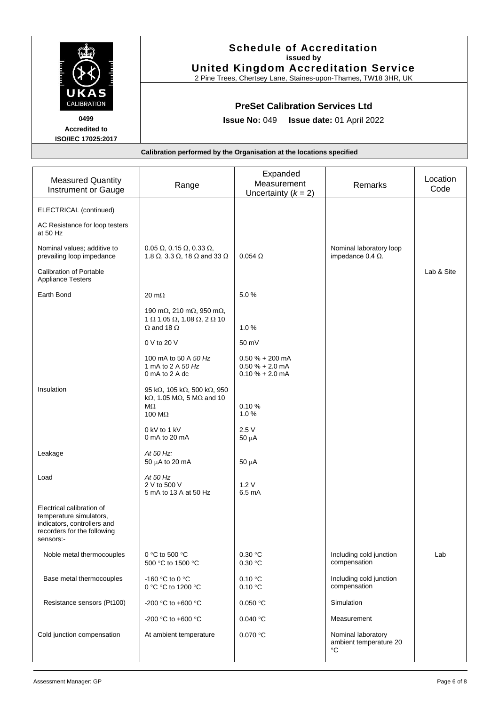|                                                                                                                                 | <b>Schedule of Accreditation</b><br>issued by<br><b>United Kingdom Accreditation Service</b><br>2 Pine Trees, Chertsey Lane, Staines-upon-Thames, TW18 3HR, UK |                                                                                             |                                                     |                  |  |
|---------------------------------------------------------------------------------------------------------------------------------|----------------------------------------------------------------------------------------------------------------------------------------------------------------|---------------------------------------------------------------------------------------------|-----------------------------------------------------|------------------|--|
| KAS<br>CALIBRATION<br>0499<br><b>Accredited to</b><br>ISO/IEC 17025:2017                                                        |                                                                                                                                                                | <b>PreSet Calibration Services Ltd</b><br><b>Issue No: 049</b><br>Issue date: 01 April 2022 |                                                     |                  |  |
|                                                                                                                                 | Calibration performed by the Organisation at the locations specified                                                                                           |                                                                                             |                                                     |                  |  |
| <b>Measured Quantity</b><br>Instrument or Gauge                                                                                 | Range                                                                                                                                                          | Expanded<br>Measurement<br>Uncertainty $(k = 2)$                                            | Remarks                                             | Location<br>Code |  |
| ELECTRICAL (continued)                                                                                                          |                                                                                                                                                                |                                                                                             |                                                     |                  |  |
| AC Resistance for loop testers<br>at 50 Hz                                                                                      |                                                                                                                                                                |                                                                                             |                                                     |                  |  |
| Nominal values: additive to<br>prevailing loop impedance                                                                        | $0.05 \Omega$ , 0.15 $\Omega$ , 0.33 $\Omega$ ,<br>1.8 $\Omega$ , 3.3 $\Omega$ , 18 $\Omega$ and 33 $\Omega$                                                   | $0.054$ $\Omega$                                                                            | Nominal laboratory loop<br>impedance $0.4 \Omega$ . |                  |  |
| <b>Calibration of Portable</b><br><b>Appliance Testers</b>                                                                      |                                                                                                                                                                |                                                                                             |                                                     | Lab & Site       |  |
| Earth Bond                                                                                                                      | $20 \text{ m}\Omega$                                                                                                                                           | 5.0%                                                                                        |                                                     |                  |  |
|                                                                                                                                 | 190 m $\Omega$ , 210 m $\Omega$ , 950 m $\Omega$ ,<br>$1$ Ω 1.05 Ω, 1.08 Ω, 2 Ω 10<br>$\Omega$ and 18 $\Omega$                                                 | 1.0%                                                                                        |                                                     |                  |  |
|                                                                                                                                 | 0 V to 20 V                                                                                                                                                    | 50 mV                                                                                       |                                                     |                  |  |
|                                                                                                                                 | 100 mA to 50 A 50 Hz<br>1 mA to 2 A 50 Hz<br>0 mA to 2 A dc                                                                                                    | $0.50 \% + 200 mA$<br>$0.50 \% + 2.0 mA$<br>$0.10 \% + 2.0$ mA                              |                                                     |                  |  |
| Insulation                                                                                                                      | 95 kΩ, 105 kΩ, 500 kΩ, 950<br>k $\Omega$ , 1.05 M $\Omega$ , 5 M $\Omega$ and 10<br>$M\Omega$<br>100 $\text{M}\Omega$                                          | 0.10%<br>$1.0\%$                                                                            |                                                     |                  |  |
|                                                                                                                                 | 0 kV to 1 kV<br>0 mA to 20 mA                                                                                                                                  | 2.5V<br>$50 \mu A$                                                                          |                                                     |                  |  |
| Leakage                                                                                                                         | At 50 Hz:<br>50 µA to 20 mA                                                                                                                                    | $50 \mu A$                                                                                  |                                                     |                  |  |
| Load                                                                                                                            | At 50 Hz<br>2 V to 500 V<br>5 mA to 13 A at 50 Hz                                                                                                              | 1.2V<br>$6.5 \text{ mA}$                                                                    |                                                     |                  |  |
| Electrical calibration of<br>temperature simulators,<br>indicators, controllers and<br>recorders for the following<br>sensors:- |                                                                                                                                                                |                                                                                             |                                                     |                  |  |
| Noble metal thermocouples                                                                                                       | 0 °C to 500 °C<br>500 °C to 1500 °C                                                                                                                            | 0.30 °C<br>0.30 °C                                                                          | Including cold junction<br>compensation             | Lab              |  |
| Base metal thermocouples                                                                                                        | -160 °C to 0 °C<br>0 °C °C to 1200 °C                                                                                                                          | 0.10 °C<br>0.10 °C                                                                          | Including cold junction<br>compensation             |                  |  |

Resistance sensors (Pt100)  $\Big|$  -200 °C to +600 °C  $\Big|$  0.050 °C  $\Big|$  Simulation

Cold junction compensation At ambient temperature 0.070 °C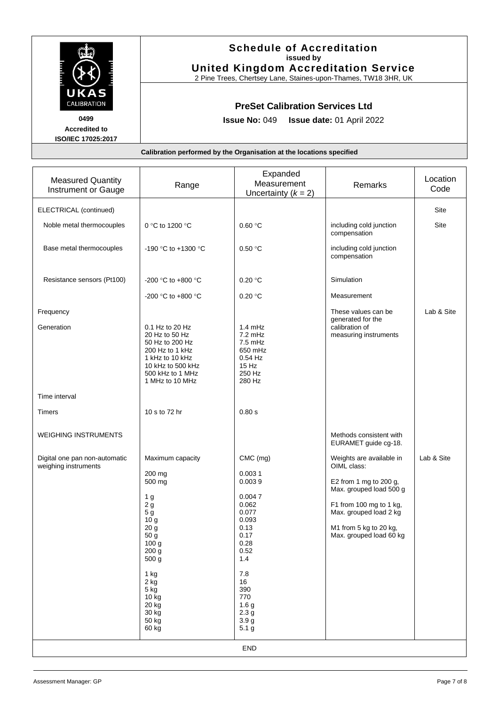|                                                                                         |                                                                                                                 | <b>Schedule of Accreditation</b><br>issued by<br><b>United Kingdom Accreditation Service</b><br>2 Pine Trees, Chertsey Lane, Staines-upon-Thames, TW18 3HR, UK |                 |          |  |
|-----------------------------------------------------------------------------------------|-----------------------------------------------------------------------------------------------------------------|----------------------------------------------------------------------------------------------------------------------------------------------------------------|-----------------|----------|--|
| UKAS<br><b>CALIBRATION</b><br>0499<br><b>Accredited to</b><br><b>ISO/IEC 17025:2017</b> | <b>PreSet Calibration Services Ltd</b><br><b>Issue No: <math>049</math></b><br><b>Issue date: 01 April 2022</b> |                                                                                                                                                                |                 |          |  |
|                                                                                         |                                                                                                                 | Calibration performed by the Organisation at the locations specified                                                                                           |                 |          |  |
|                                                                                         |                                                                                                                 |                                                                                                                                                                |                 |          |  |
| <b>Measured Quantity</b>                                                                | Donas                                                                                                           | Expanded<br>Messurement                                                                                                                                        | <b>Domorlin</b> | Location |  |

| <b>Measured Quantity</b><br><b>Instrument or Gauge</b> | Range                                                                                                                                                                                                                                        | Expanded<br>Measurement<br>Uncertainty $(k = 2)$                                                                                                                                                                      | Remarks                                                                                                                                                                                                | Location<br>Code |  |
|--------------------------------------------------------|----------------------------------------------------------------------------------------------------------------------------------------------------------------------------------------------------------------------------------------------|-----------------------------------------------------------------------------------------------------------------------------------------------------------------------------------------------------------------------|--------------------------------------------------------------------------------------------------------------------------------------------------------------------------------------------------------|------------------|--|
| ELECTRICAL (continued)                                 |                                                                                                                                                                                                                                              |                                                                                                                                                                                                                       |                                                                                                                                                                                                        | Site             |  |
| Noble metal thermocouples                              | 0 °C to 1200 °C                                                                                                                                                                                                                              | 0.60 °C                                                                                                                                                                                                               | including cold junction<br>compensation                                                                                                                                                                | Site             |  |
| Base metal thermocouples                               | -190 °C to +1300 °C                                                                                                                                                                                                                          | 0.50 °C                                                                                                                                                                                                               | including cold junction<br>compensation                                                                                                                                                                |                  |  |
| Resistance sensors (Pt100)                             | -200 °C to +800 °C                                                                                                                                                                                                                           | 0.20 °C                                                                                                                                                                                                               | Simulation                                                                                                                                                                                             |                  |  |
|                                                        | -200 °C to +800 °C                                                                                                                                                                                                                           | 0.20 °C                                                                                                                                                                                                               | Measurement                                                                                                                                                                                            |                  |  |
| Frequency<br>Generation                                | 0.1 Hz to 20 Hz<br>20 Hz to 50 Hz<br>50 Hz to 200 Hz<br>200 Hz to 1 kHz<br>1 kHz to 10 kHz<br>10 kHz to 500 kHz<br>500 kHz to 1 MHz<br>1 MHz to 10 MHz                                                                                       | 1.4 mHz<br>7.2 mHz<br>$7.5$ mHz<br>650 mHz<br>$0.54$ Hz<br>15 Hz<br>250 Hz<br>280 Hz                                                                                                                                  | These values can be<br>generated for the<br>calibration of<br>measuring instruments                                                                                                                    | Lab & Site       |  |
| Time interval                                          |                                                                                                                                                                                                                                              |                                                                                                                                                                                                                       |                                                                                                                                                                                                        |                  |  |
| <b>Timers</b>                                          | 10 s to 72 hr                                                                                                                                                                                                                                | 0.80 s                                                                                                                                                                                                                |                                                                                                                                                                                                        |                  |  |
| <b>WEIGHING INSTRUMENTS</b>                            |                                                                                                                                                                                                                                              |                                                                                                                                                                                                                       | Methods consistent with<br>EURAMET guide cg-18.                                                                                                                                                        |                  |  |
| Digital one pan non-automatic<br>weighing instruments  | Maximum capacity<br>200 mg<br>500 mg<br>1 <sub>g</sub><br>2g<br>5 <sub>g</sub><br>10 g<br>20 <sub>g</sub><br>50 g<br>100 <sub>g</sub><br>200 g<br>500 g<br>$1$ kg<br>2 kg<br>$5 \text{ kg}$<br>$10$ $kg$<br>20 kg<br>30 kg<br>50 kg<br>60 kg | CMC (mg)<br>0.0031<br>0.0039<br>0.0047<br>0.062<br>0.077<br>0.093<br>0.13<br>0.17<br>0.28<br>0.52<br>1.4<br>$7.8$<br>16<br>390<br>770<br>1.6 <sub>g</sub><br>2.3 <sub>g</sub><br>3.9 <sub>g</sub><br>5.1 <sub>g</sub> | Weights are available in<br>OIML class:<br>E2 from 1 mg to 200 g,<br>Max. grouped load 500 g<br>F1 from 100 mg to 1 kg,<br>Max. grouped load 2 kg<br>M1 from 5 kg to 20 kg,<br>Max. grouped load 60 kg | Lab & Site       |  |
| END                                                    |                                                                                                                                                                                                                                              |                                                                                                                                                                                                                       |                                                                                                                                                                                                        |                  |  |